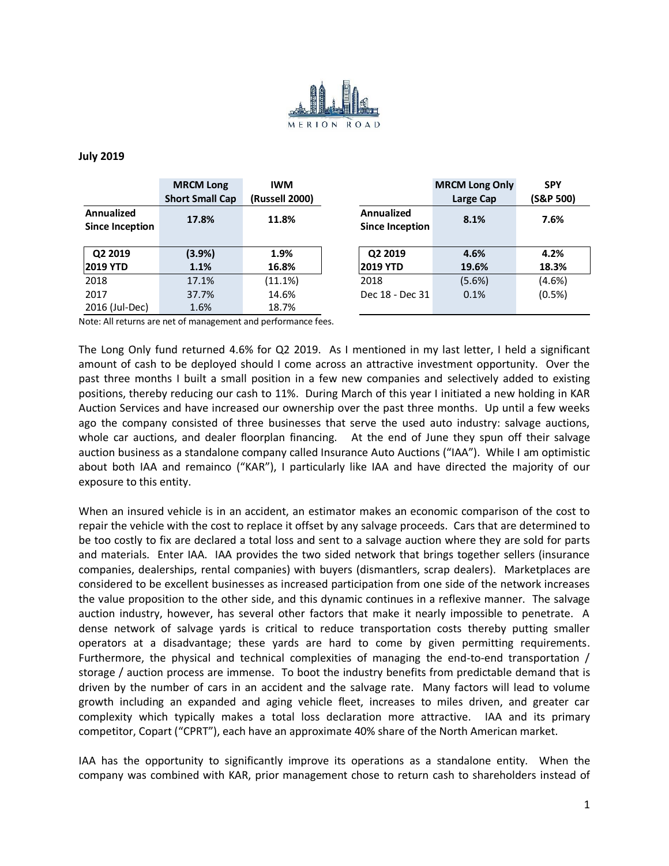

## **July 2019**

|                                             | <b>MRCM Long</b><br><b>Short Small Cap</b> | <b>IWM</b><br>(Russell 2000) |                                      | <b>MRCM Long Only</b><br>Large Cap | <b>SPY</b><br>(S&P 500) |
|---------------------------------------------|--------------------------------------------|------------------------------|--------------------------------------|------------------------------------|-------------------------|
| <b>Annualized</b><br><b>Since Inception</b> | 17.8%                                      | 11.8%                        | Annualized<br><b>Since Inception</b> | 8.1%                               | 7.6%                    |
| Q2 2019<br> 2019 YTD                        | (3.9%)<br>1.1%                             | 1.9%<br>16.8%                | Q2 2019<br><b>2019 YTD</b>           | 4.6%<br>19.6%                      | 4.2%<br>18.3%           |
| 2018                                        | 17.1%                                      | (11.1%)                      | 2018                                 | (5.6%)                             | (4.6%)                  |
| 2017                                        | 37.7%                                      | 14.6%                        | Dec 18 - Dec 31                      | 0.1%                               | (0.5%)                  |
| 2016 (Jul-Dec)                              | 1.6%                                       | 18.7%                        |                                      |                                    |                         |

Note: All returns are net of management and performance fees.

The Long Only fund returned 4.6% for Q2 2019. As I mentioned in my last letter, I held a significant amount of cash to be deployed should I come across an attractive investment opportunity. Over the past three months I built a small position in a few new companies and selectively added to existing positions, thereby reducing our cash to 11%. During March of this year I initiated a new holding in KAR Auction Services and have increased our ownership over the past three months. Up until a few weeks ago the company consisted of three businesses that serve the used auto industry: salvage auctions, whole car auctions, and dealer floorplan financing. At the end of June they spun off their salvage auction business as a standalone company called Insurance Auto Auctions ("IAA"). While I am optimistic about both IAA and remainco ("KAR"), I particularly like IAA and have directed the majority of our exposure to this entity.

When an insured vehicle is in an accident, an estimator makes an economic comparison of the cost to repair the vehicle with the cost to replace it offset by any salvage proceeds. Cars that are determined to be too costly to fix are declared a total loss and sent to a salvage auction where they are sold for parts and materials. Enter IAA. IAA provides the two sided network that brings together sellers (insurance companies, dealerships, rental companies) with buyers (dismantlers, scrap dealers). Marketplaces are considered to be excellent businesses as increased participation from one side of the network increases the value proposition to the other side, and this dynamic continues in a reflexive manner. The salvage auction industry, however, has several other factors that make it nearly impossible to penetrate. A dense network of salvage yards is critical to reduce transportation costs thereby putting smaller operators at a disadvantage; these yards are hard to come by given permitting requirements. Furthermore, the physical and technical complexities of managing the end-to-end transportation / storage / auction process are immense. To boot the industry benefits from predictable demand that is driven by the number of cars in an accident and the salvage rate. Many factors will lead to volume growth including an expanded and aging vehicle fleet, increases to miles driven, and greater car complexity which typically makes a total loss declaration more attractive. IAA and its primary competitor, Copart ("CPRT"), each have an approximate 40% share of the North American market.

IAA has the opportunity to significantly improve its operations as a standalone entity. When the company was combined with KAR, prior management chose to return cash to shareholders instead of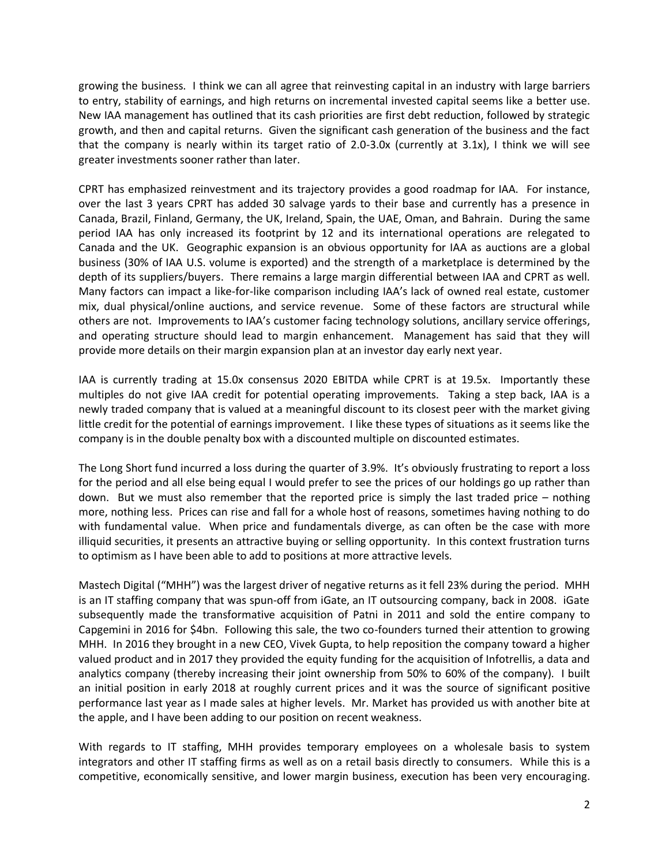growing the business. I think we can all agree that reinvesting capital in an industry with large barriers to entry, stability of earnings, and high returns on incremental invested capital seems like a better use. New IAA management has outlined that its cash priorities are first debt reduction, followed by strategic growth, and then and capital returns. Given the significant cash generation of the business and the fact that the company is nearly within its target ratio of 2.0-3.0x (currently at 3.1x), I think we will see greater investments sooner rather than later.

CPRT has emphasized reinvestment and its trajectory provides a good roadmap for IAA. For instance, over the last 3 years CPRT has added 30 salvage yards to their base and currently has a presence in Canada, Brazil, Finland, Germany, the UK, Ireland, Spain, the UAE, Oman, and Bahrain. During the same period IAA has only increased its footprint by 12 and its international operations are relegated to Canada and the UK. Geographic expansion is an obvious opportunity for IAA as auctions are a global business (30% of IAA U.S. volume is exported) and the strength of a marketplace is determined by the depth of its suppliers/buyers. There remains a large margin differential between IAA and CPRT as well. Many factors can impact a like-for-like comparison including IAA's lack of owned real estate, customer mix, dual physical/online auctions, and service revenue. Some of these factors are structural while others are not. Improvements to IAA's customer facing technology solutions, ancillary service offerings, and operating structure should lead to margin enhancement. Management has said that they will provide more details on their margin expansion plan at an investor day early next year.

IAA is currently trading at 15.0x consensus 2020 EBITDA while CPRT is at 19.5x. Importantly these multiples do not give IAA credit for potential operating improvements. Taking a step back, IAA is a newly traded company that is valued at a meaningful discount to its closest peer with the market giving little credit for the potential of earnings improvement. I like these types of situations as it seems like the company is in the double penalty box with a discounted multiple on discounted estimates.

The Long Short fund incurred a loss during the quarter of 3.9%. It's obviously frustrating to report a loss for the period and all else being equal I would prefer to see the prices of our holdings go up rather than down. But we must also remember that the reported price is simply the last traded price – nothing more, nothing less. Prices can rise and fall for a whole host of reasons, sometimes having nothing to do with fundamental value. When price and fundamentals diverge, as can often be the case with more illiquid securities, it presents an attractive buying or selling opportunity. In this context frustration turns to optimism as I have been able to add to positions at more attractive levels.

Mastech Digital ("MHH") was the largest driver of negative returns as it fell 23% during the period. MHH is an IT staffing company that was spun-off from iGate, an IT outsourcing company, back in 2008. iGate subsequently made the transformative acquisition of Patni in 2011 and sold the entire company to Capgemini in 2016 for \$4bn. Following this sale, the two co-founders turned their attention to growing MHH. In 2016 they brought in a new CEO, Vivek Gupta, to help reposition the company toward a higher valued product and in 2017 they provided the equity funding for the acquisition of Infotrellis, a data and analytics company (thereby increasing their joint ownership from 50% to 60% of the company). I built an initial position in early 2018 at roughly current prices and it was the source of significant positive performance last year as I made sales at higher levels. Mr. Market has provided us with another bite at the apple, and I have been adding to our position on recent weakness.

With regards to IT staffing, MHH provides temporary employees on a wholesale basis to system integrators and other IT staffing firms as well as on a retail basis directly to consumers. While this is a competitive, economically sensitive, and lower margin business, execution has been very encouraging.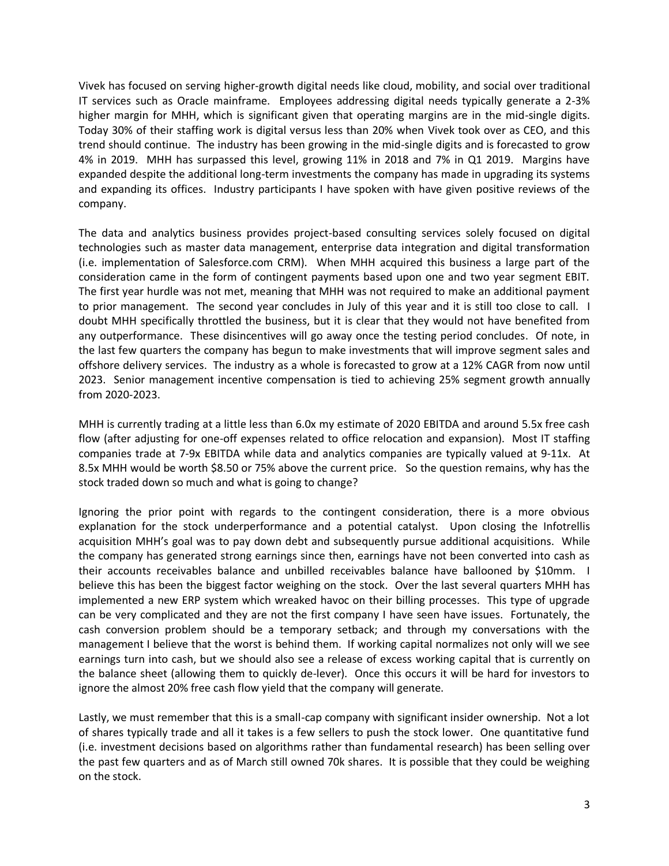Vivek has focused on serving higher-growth digital needs like cloud, mobility, and social over traditional IT services such as Oracle mainframe. Employees addressing digital needs typically generate a 2-3% higher margin for MHH, which is significant given that operating margins are in the mid-single digits. Today 30% of their staffing work is digital versus less than 20% when Vivek took over as CEO, and this trend should continue. The industry has been growing in the mid-single digits and is forecasted to grow 4% in 2019. MHH has surpassed this level, growing 11% in 2018 and 7% in Q1 2019. Margins have expanded despite the additional long-term investments the company has made in upgrading its systems and expanding its offices. Industry participants I have spoken with have given positive reviews of the company.

The data and analytics business provides project-based consulting services solely focused on digital technologies such as master data management, enterprise data integration and digital transformation (i.e. implementation of Salesforce.com CRM). When MHH acquired this business a large part of the consideration came in the form of contingent payments based upon one and two year segment EBIT. The first year hurdle was not met, meaning that MHH was not required to make an additional payment to prior management. The second year concludes in July of this year and it is still too close to call. I doubt MHH specifically throttled the business, but it is clear that they would not have benefited from any outperformance. These disincentives will go away once the testing period concludes. Of note, in the last few quarters the company has begun to make investments that will improve segment sales and offshore delivery services. The industry as a whole is forecasted to grow at a 12% CAGR from now until 2023. Senior management incentive compensation is tied to achieving 25% segment growth annually from 2020-2023.

MHH is currently trading at a little less than 6.0x my estimate of 2020 EBITDA and around 5.5x free cash flow (after adjusting for one-off expenses related to office relocation and expansion). Most IT staffing companies trade at 7-9x EBITDA while data and analytics companies are typically valued at 9-11x. At 8.5x MHH would be worth \$8.50 or 75% above the current price. So the question remains, why has the stock traded down so much and what is going to change?

Ignoring the prior point with regards to the contingent consideration, there is a more obvious explanation for the stock underperformance and a potential catalyst. Upon closing the Infotrellis acquisition MHH's goal was to pay down debt and subsequently pursue additional acquisitions. While the company has generated strong earnings since then, earnings have not been converted into cash as their accounts receivables balance and unbilled receivables balance have ballooned by \$10mm. I believe this has been the biggest factor weighing on the stock. Over the last several quarters MHH has implemented a new ERP system which wreaked havoc on their billing processes. This type of upgrade can be very complicated and they are not the first company I have seen have issues. Fortunately, the cash conversion problem should be a temporary setback; and through my conversations with the management I believe that the worst is behind them. If working capital normalizes not only will we see earnings turn into cash, but we should also see a release of excess working capital that is currently on the balance sheet (allowing them to quickly de-lever). Once this occurs it will be hard for investors to ignore the almost 20% free cash flow yield that the company will generate.

Lastly, we must remember that this is a small-cap company with significant insider ownership. Not a lot of shares typically trade and all it takes is a few sellers to push the stock lower. One quantitative fund (i.e. investment decisions based on algorithms rather than fundamental research) has been selling over the past few quarters and as of March still owned 70k shares. It is possible that they could be weighing on the stock.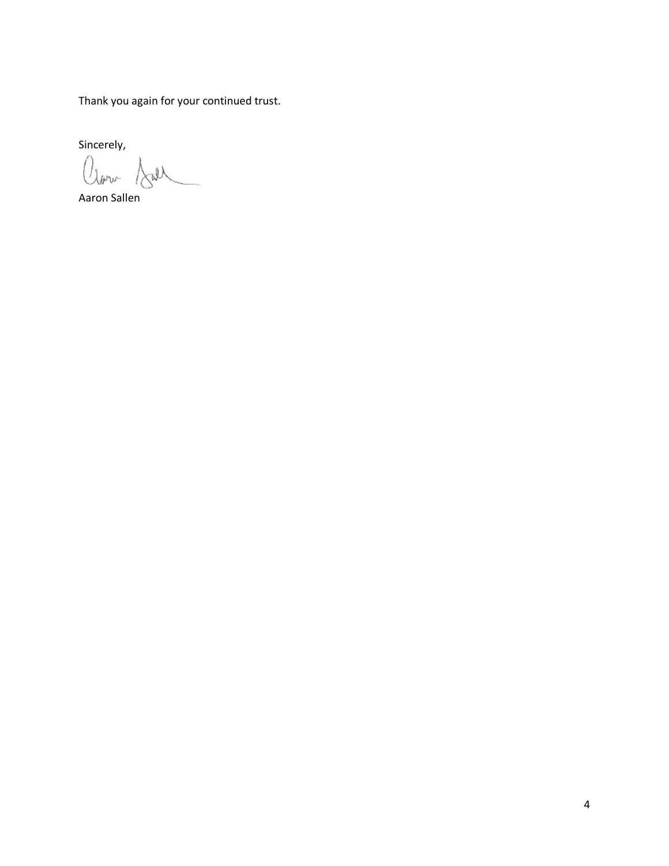Thank you again for your continued trust.

Sincerely,<br> $\bigcup_{\text{sym}}$   $\bigcup_{\text{sym}}$ 

Aaron Sallen